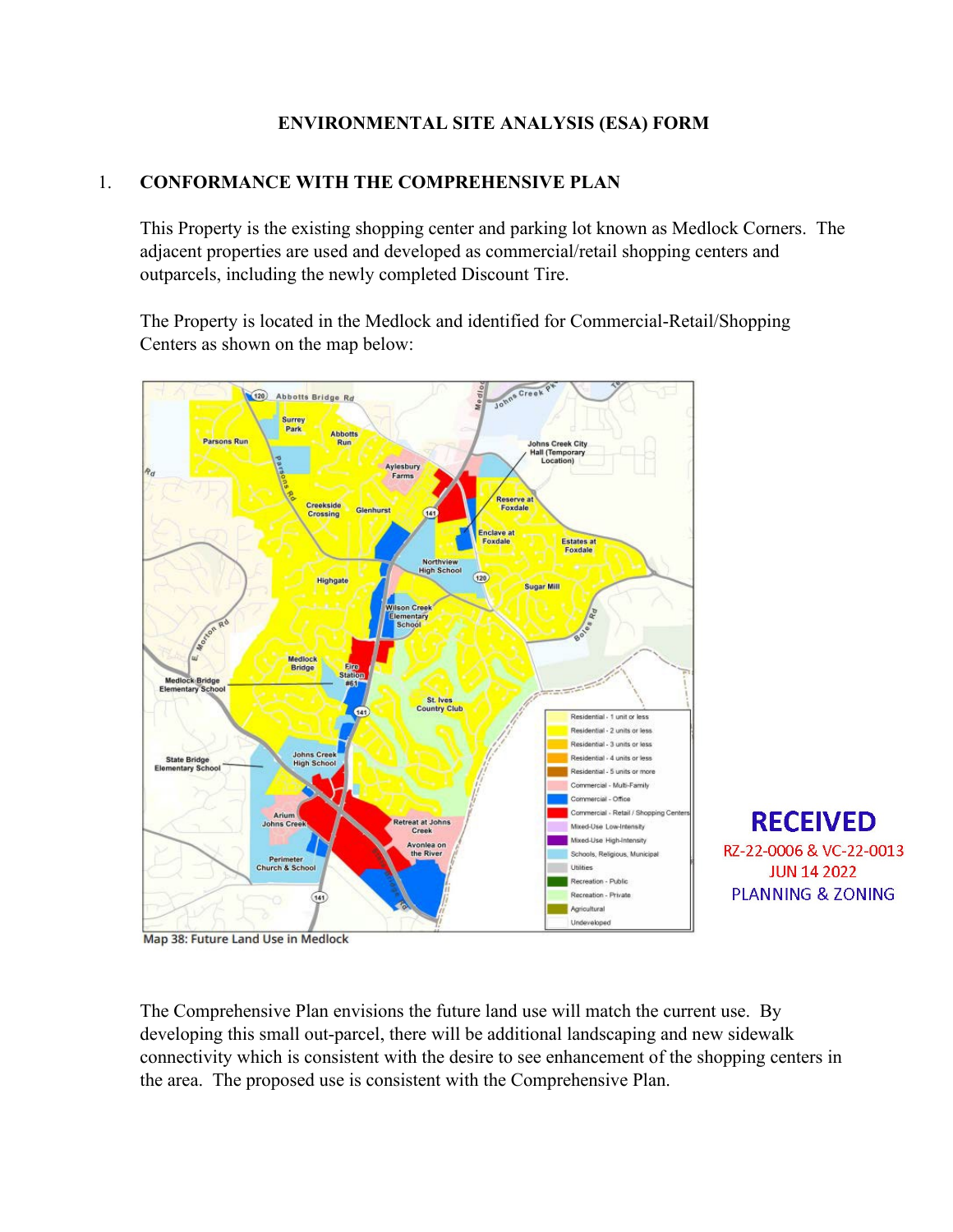## **ENVIRONMENTAL SITE ANALYSIS (ESA) FORM**

# 1. **CONFORMANCE WITH THE COMPREHENSIVE PLAN**

This Property is the existing shopping center and parking lot known as Medlock Corners. The adjacent properties are used and developed as commercial/retail shopping centers and outparcels, including the newly completed Discount Tire.

The Property is located in the Medlock and identified for Commercial-Retail/Shopping Centers as shown on the map below:



Map 38: Future Land Use in Medlock

The Comprehensive Plan envisions the future land use will match the current use. By developing this small out-parcel, there will be additional landscaping and new sidewalk connectivity which is consistent with the desire to see enhancement of the shopping centers in the area. The proposed use is consistent with the Comprehensive Plan.

**RECEIVED** 

RZ-22-0006 & VC-22-0013

**JUN 14 2022** 

**PLANNING & ZONING**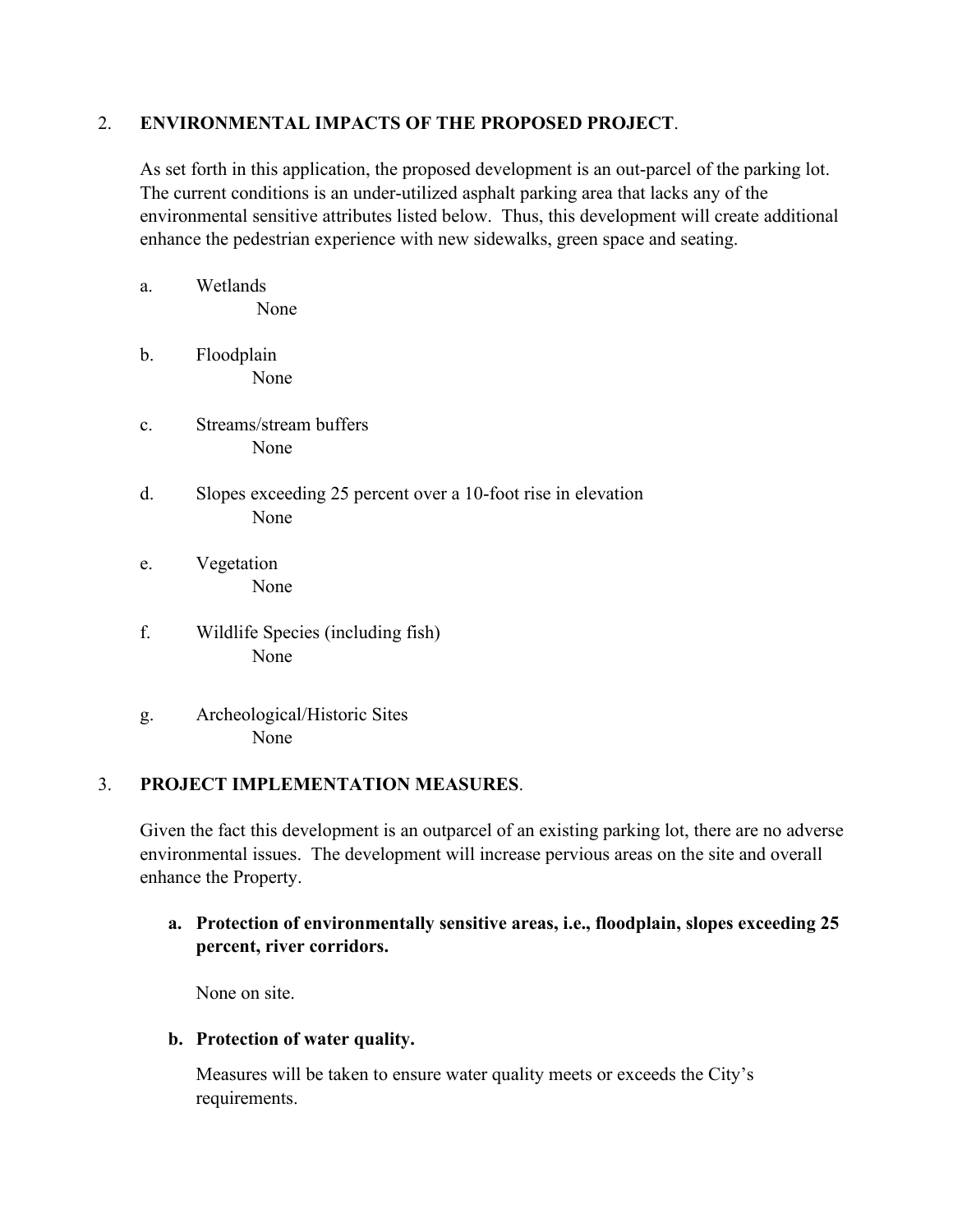#### 2. **ENVIRONMENTAL IMPACTS OF THE PROPOSED PROJECT**.

As set forth in this application, the proposed development is an out-parcel of the parking lot. The current conditions is an under-utilized asphalt parking area that lacks any of the environmental sensitive attributes listed below. Thus, this development will create additional enhance the pedestrian experience with new sidewalks, green space and seating.

- a. Wetlands None
- b. Floodplain None
- c. Streams/stream buffers None
- d. Slopes exceeding 25 percent over a 10-foot rise in elevation None
- e. Vegetation None
- f. Wildlife Species (including fish) None
- g. Archeological/Historic Sites None

### 3. **PROJECT IMPLEMENTATION MEASURES**.

Given the fact this development is an outparcel of an existing parking lot, there are no adverse environmental issues. The development will increase pervious areas on the site and overall enhance the Property.

**a. Protection of environmentally sensitive areas, i.e., floodplain, slopes exceeding 25 percent, river corridors.**

None on site.

**b. Protection of water quality.**

Measures will be taken to ensure water quality meets or exceeds the City's requirements.